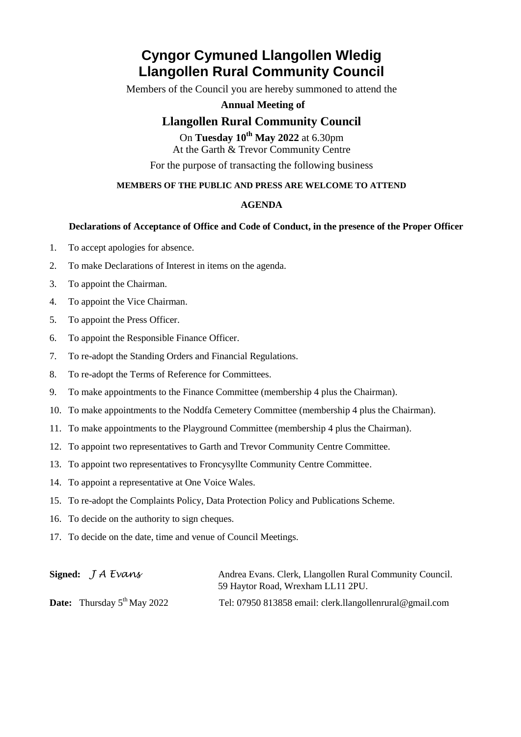# **Cyngor Cymuned Llangollen Wledig Llangollen Rural Community Council**

Members of the Council you are hereby summoned to attend the

#### **Annual Meeting of**

### **Llangollen Rural Community Council**

On **Tuesday 10 th May 2022** at 6.30pm At the Garth & Trevor Community Centre For the purpose of transacting the following business

#### **MEMBERS OF THE PUBLIC AND PRESS ARE WELCOME TO ATTEND**

#### **AGENDA**

#### **Declarations of Acceptance of Office and Code of Conduct, in the presence of the Proper Officer**

- 1. To accept apologies for absence.
- 2. To make Declarations of Interest in items on the agenda.
- 3. To appoint the Chairman.
- 4. To appoint the Vice Chairman.
- 5. To appoint the Press Officer.
- 6. To appoint the Responsible Finance Officer.
- 7. To re-adopt the Standing Orders and Financial Regulations.
- 8. To re-adopt the Terms of Reference for Committees.
- 9. To make appointments to the Finance Committee (membership 4 plus the Chairman).
- 10. To make appointments to the Noddfa Cemetery Committee (membership 4 plus the Chairman).
- 11. To make appointments to the Playground Committee (membership 4 plus the Chairman).
- 12. To appoint two representatives to Garth and Trevor Community Centre Committee.
- 13. To appoint two representatives to Froncysyllte Community Centre Committee.
- 14. To appoint a representative at One Voice Wales.
- 15. To re-adopt the Complaints Policy, Data Protection Policy and Publications Scheme.
- 16. To decide on the authority to sign cheques.
- 17. To decide on the date, time and venue of Council Meetings.

| Signed: $JA Evans$                             | Andrea Evans. Clerk, Llangollen Rural Community Council.<br>59 Haytor Road, Wrexham LL11 2PU. |
|------------------------------------------------|-----------------------------------------------------------------------------------------------|
| <b>Date:</b> Thursday $5^{\text{th}}$ May 2022 | Tel: 07950 813858 email: clerk.llangollenrural@gmail.com                                      |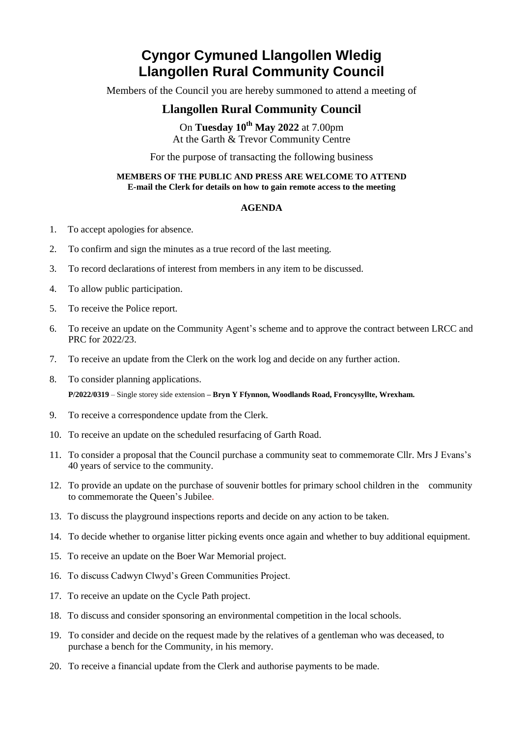# **Cyngor Cymuned Llangollen Wledig Llangollen Rural Community Council**

Members of the Council you are hereby summoned to attend a meeting of

### **Llangollen Rural Community Council**

On **Tuesday 10th May 2022** at 7.00pm At the Garth & Trevor Community Centre

For the purpose of transacting the following business

#### **MEMBERS OF THE PUBLIC AND PRESS ARE WELCOME TO ATTEND E-mail the Clerk for details on how to gain remote access to the meeting**

#### **AGENDA**

- 1. To accept apologies for absence.
- 2. To confirm and sign the minutes as a true record of the last meeting.
- 3. To record declarations of interest from members in any item to be discussed.
- 4. To allow public participation.
- 5. To receive the Police report.
- 6. To receive an update on the Community Agent's scheme and to approve the contract between LRCC and PRC for 2022/23.
- 7. To receive an update from the Clerk on the work log and decide on any further action.
- 8. To consider planning applications. **P/2022/0319** – Single storey side extension **– Bryn Y Ffynnon, Woodlands Road, Froncysyllte, Wrexham.**
- 9. To receive a correspondence update from the Clerk.
- 10. To receive an update on the scheduled resurfacing of Garth Road.
- 11. To consider a proposal that the Council purchase a community seat to commemorate Cllr. Mrs J Evans's 40 years of service to the community.
- 12. To provide an update on the purchase of souvenir bottles for primary school children in the community to commemorate the Queen's Jubilee.
- 13. To discuss the playground inspections reports and decide on any action to be taken.
- 14. To decide whether to organise litter picking events once again and whether to buy additional equipment.
- 15. To receive an update on the Boer War Memorial project.
- 16. To discuss Cadwyn Clwyd's Green Communities Project.
- 17. To receive an update on the Cycle Path project.
- 18. To discuss and consider sponsoring an environmental competition in the local schools.
- 19. To consider and decide on the request made by the relatives of a gentleman who was deceased, to purchase a bench for the Community, in his memory.
- 20. To receive a financial update from the Clerk and authorise payments to be made.